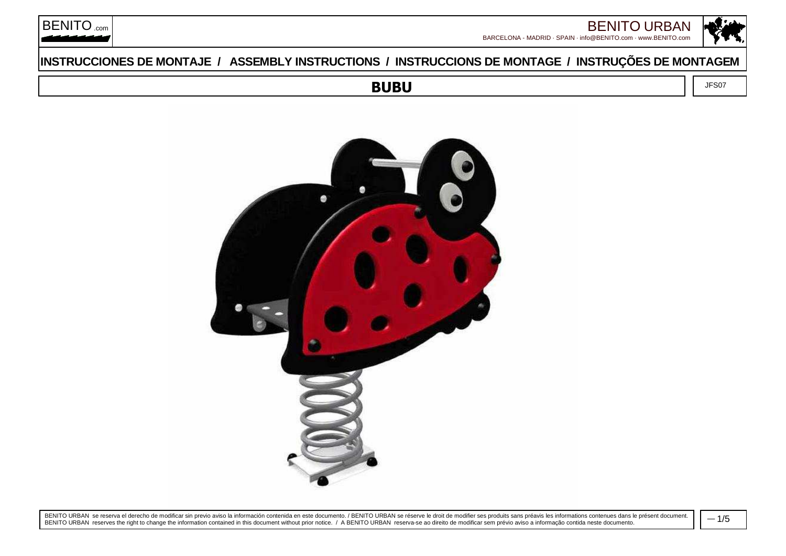



BARCELONA - MADRID · SPAIN · info@BENITO.com · www.BENITO.com

### **INSTRUCCIONES DE MONTAJE / ASSEMBLY INSTRUCTIONS / INSTRUCCIONS DE MONTAGE / INSTRUÇÕES DE MONTAGEM**

BENITO<sub>.com</sub>

**BUBU**

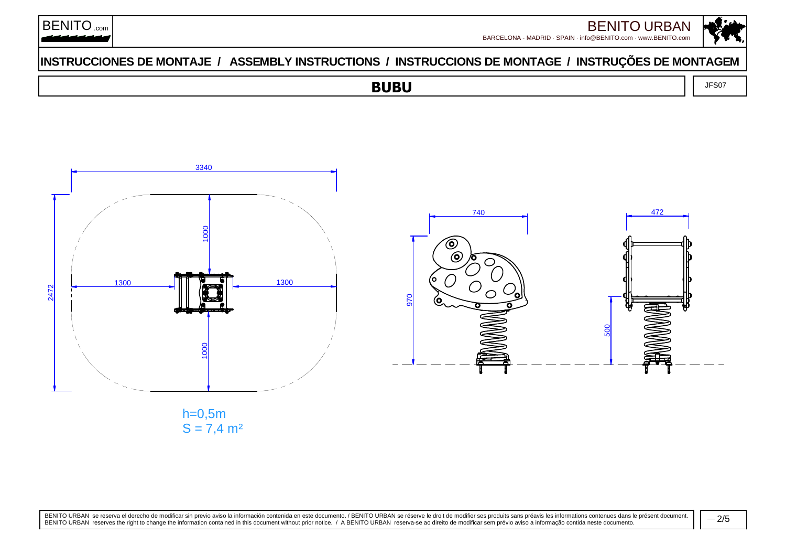



### **INSTRUCCIONES DE MONTAJE / ASSEMBLY INSTRUCTIONS / INSTRUCCIONS DE MONTAGE / INSTRUÇÕES DE MONTAGEM**

#### **BUBU** $\overline{J}$  JFS07



h=0,5m $\mathsf{S} = 7{,}4$  m<sup>2</sup>

BENITO URBAN se reserva el derecho de modificar sin previo aviso la información contenida en este documento. / BENITO URBAN se réserve le droit de modifier ses produits sans préavis les informations contenues dans le prése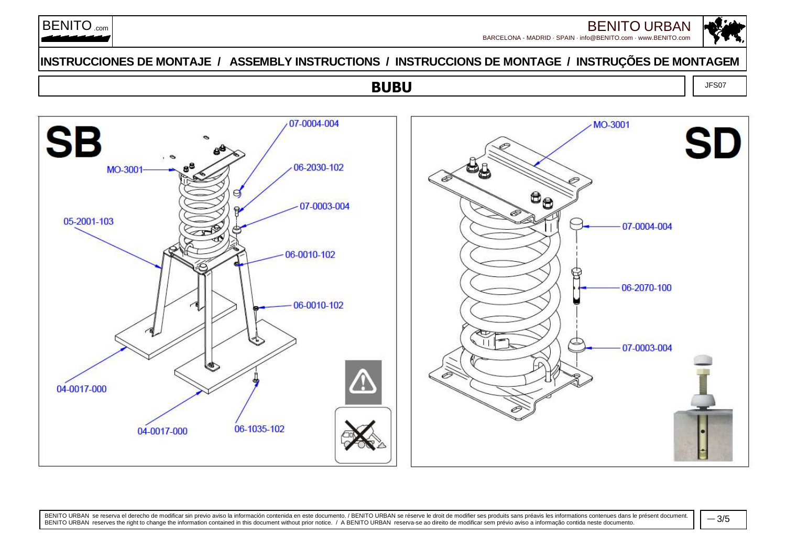

BARCELONA - MADRID · SPAIN · info@BENITO.com · www.BENITO.comBENITO URBAN<br>0@benito.com · www.benito.com

### **INSTRUCCIONES DE MONTAJE / ASSEMBLY INSTRUCTIONS / INSTRUCCIONS DE MONTAGE / INSTRUÇÕES DE MONTAGEM**

# **BUBU**



BENITO URBAN se reserva el derecho de modificar sin previo aviso la información contenida en este documento. / BENITO URBAN se réserve le droit de modifier ses produits sans préavis les informations contenues dans le prése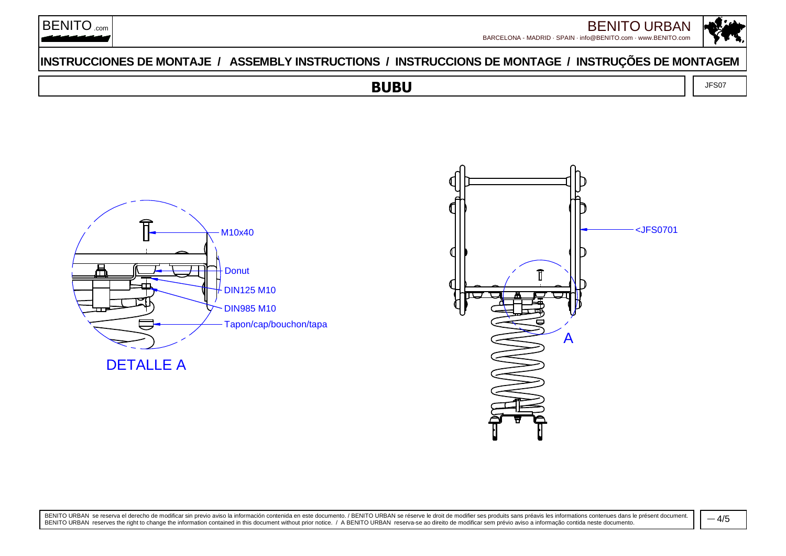



### **INSTRUCCIONES DE MONTAJE / ASSEMBLY INSTRUCTIONS / INSTRUCCIONS DE MONTAGE / INSTRUÇÕES DE MONTAGEM**

 $\overline{J}$  JFS07

# **BUBU**